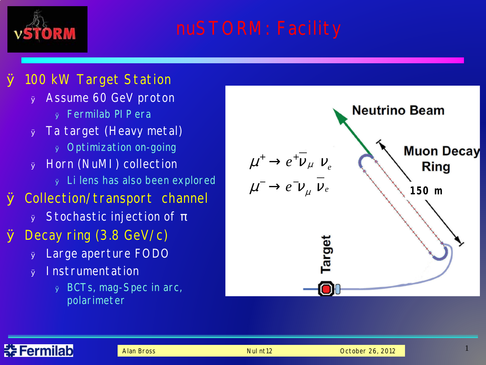# vSTORM

## nuSTORM: Facility

#### **Ø** 100 kW Target Station

- <sup>Ø</sup> Assume 60 GeV proton
	- <sup>Ø</sup> Fermilab PIP era
- <sup>Ø</sup> Ta target (Heavy metal)
	- <sup>Ø</sup> Optimization on-going
- <sup>Ø</sup> Horn (NuMI) collection
	- **ø** Li lens has also been explored
- Ø Collection/transport channel
	- **ø** Stochastic injection of p
- Ø Decay ring (3.8 GeV/c)
	- <sup>Ø</sup> Large aperture FODO
	- <sup>Ø</sup> Instrumentation
		- <sup>Ø</sup> BCTs, mag-Spec in arc, polarimeter



#### **춘 Fermilab**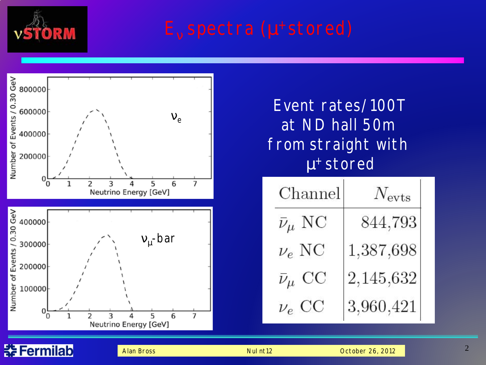



Event rates/100T at ND hall 50m from straight with m stored

| Channel              | $N_{\text{evts}}$ |
|----------------------|-------------------|
| $\bar{\nu}_{\mu}$ NC | 844,793           |
| $\nu_e$ NC           | 1,387,698         |
| $\bar{\nu}_{\mu}$ CC | 2,145,632         |
| $\nu_e$ CC           | 3,960,421         |

#### **춘 Fermilab**

<u>VSTORM</u>